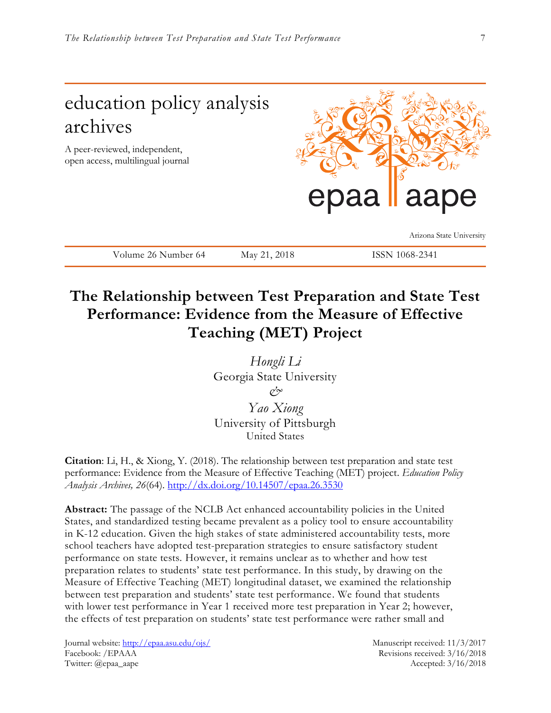# education policy analysis archives A peer-reviewed, independent, open access, multilingual journal epaa aape Arizona State University

Volume 26 Number 64 May 21, 2018 ISSN 1068-2341

# **The Relationship between Test Preparation and State Test Performance: Evidence from the Measure of Effective Teaching (MET) Project**

*Hongli Li* Georgia State University *& Yao Xiong* University of Pittsburgh United States

**Citation**: Li, H., & Xiong, Y. (2018). The relationship between test preparation and state test performance: Evidence from the Measure of Effective Teaching (MET) project. *Education Policy Analysis Archives, 26*(64).<http://dx.doi.org/10.14507/epaa.26.3530>

**Abstract:** The passage of the NCLB Act enhanced accountability policies in the United States, and standardized testing became prevalent as a policy tool to ensure accountability in K-12 education. Given the high stakes of state administered accountability tests, more school teachers have adopted test-preparation strategies to ensure satisfactory student performance on state tests. However, it remains unclear as to whether and how test preparation relates to students' state test performance. In this study, by drawing on the Measure of Effective Teaching (MET) longitudinal dataset, we examined the relationship between test preparation and students' state test performance. We found that students with lower test performance in Year 1 received more test preparation in Year 2; however, the effects of test preparation on students' state test performance were rather small and

Journal website:<http://epaa.asu.edu/ojs/> Manuscript received: 11/3/2017 Facebook: /EPAAA Revisions received: 3/16/2018 Twitter: @epaa\_aape Accepted: 3/16/2018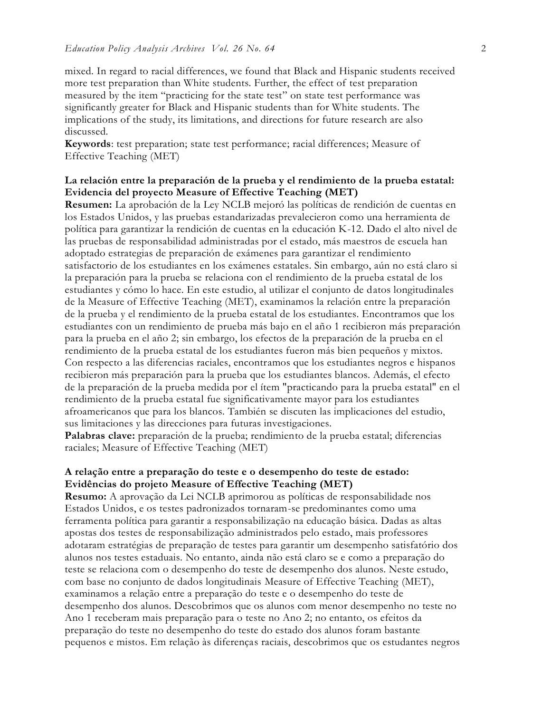mixed. In regard to racial differences, we found that Black and Hispanic students received more test preparation than White students. Further, the effect of test preparation measured by the item "practicing for the state test" on state test performance was significantly greater for Black and Hispanic students than for White students. The implications of the study, its limitations, and directions for future research are also discussed.

**Keywords**: test preparation; state test performance; racial differences; Measure of Effective Teaching (MET)

## **La relación entre la preparación de la prueba y el rendimiento de la prueba estatal: Evidencia del proyecto Measure of Effective Teaching (MET)**

**Resumen:** La aprobación de la Ley NCLB mejoró las políticas de rendición de cuentas en los Estados Unidos, y las pruebas estandarizadas prevalecieron como una herramienta de política para garantizar la rendición de cuentas en la educación K-12. Dado el alto nivel de las pruebas de responsabilidad administradas por el estado, más maestros de escuela han adoptado estrategias de preparación de exámenes para garantizar el rendimiento satisfactorio de los estudiantes en los exámenes estatales. Sin embargo, aún no está claro si la preparación para la prueba se relaciona con el rendimiento de la prueba estatal de los estudiantes y cómo lo hace. En este estudio, al utilizar el conjunto de datos longitudinales de la Measure of Effective Teaching (MET), examinamos la relación entre la preparación de la prueba y el rendimiento de la prueba estatal de los estudiantes. Encontramos que los estudiantes con un rendimiento de prueba más bajo en el año 1 recibieron más preparación para la prueba en el año 2; sin embargo, los efectos de la preparación de la prueba en el rendimiento de la prueba estatal de los estudiantes fueron más bien pequeños y mixtos. Con respecto a las diferencias raciales, encontramos que los estudiantes negros e hispanos recibieron más preparación para la prueba que los estudiantes blancos. Además, el efecto de la preparación de la prueba medida por el ítem "practicando para la prueba estatal" en el rendimiento de la prueba estatal fue significativamente mayor para los estudiantes afroamericanos que para los blancos. También se discuten las implicaciones del estudio, sus limitaciones y las direcciones para futuras investigaciones.

Palabras clave: preparación de la prueba; rendimiento de la prueba estatal; diferencias raciales; Measure of Effective Teaching (MET)

## **A relação entre a preparação do teste e o desempenho do teste de estado: Evidências do projeto Measure of Effective Teaching (MET)**

**Resumo:** A aprovação da Lei NCLB aprimorou as políticas de responsabilidade nos Estados Unidos, e os testes padronizados tornaram-se predominantes como uma ferramenta política para garantir a responsabilização na educação básica. Dadas as altas apostas dos testes de responsabilização administrados pelo estado, mais professores adotaram estratégias de preparação de testes para garantir um desempenho satisfatório dos alunos nos testes estaduais. No entanto, ainda não está claro se e como a preparação do teste se relaciona com o desempenho do teste de desempenho dos alunos. Neste estudo, com base no conjunto de dados longitudinais Measure of Effective Teaching (MET), examinamos a relação entre a preparação do teste e o desempenho do teste de desempenho dos alunos. Descobrimos que os alunos com menor desempenho no teste no Ano 1 receberam mais preparação para o teste no Ano 2; no entanto, os efeitos da preparação do teste no desempenho do teste do estado dos alunos foram bastante pequenos e mistos. Em relação às diferenças raciais, descobrimos que os estudantes negros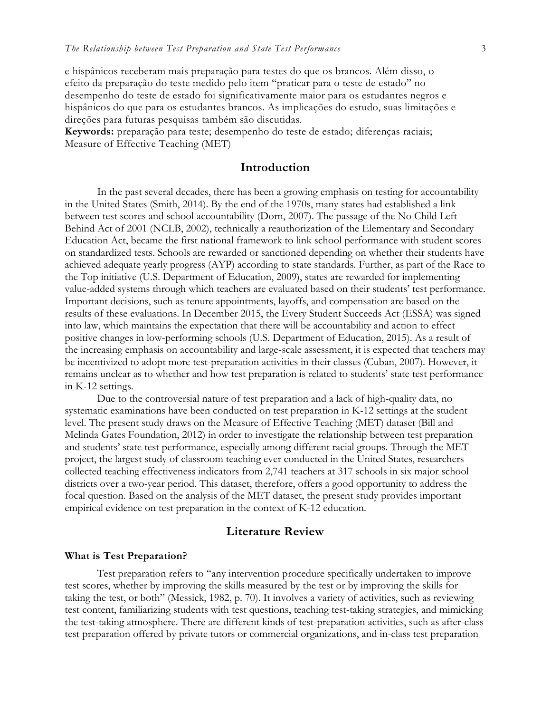e hispânicos receberam mais preparação para testes do que os brancos. Além disso, o efeito da preparação do teste medido pelo item "praticar para o teste de estado" no desempenho do teste de estado foi significativamente maior para os estudantes negros e hispânicos do que para os estudantes brancos. As implicações do estudo, suas limitações e direções para futuras pesquisas também são discutidas.

**Keywords:** preparação para teste; desempenho do teste de estado; diferenças raciais; Measure of Effective Teaching (MET)

## **Introduction**

In the past several decades, there has been a growing emphasis on testing for accountability in the United States (Smith, 2014). By the end of the 1970s, many states had established a link between test scores and school accountability (Dorn, 2007). The passage of the No Child Left Behind Act of 2001 (NCLB, 2002), technically a reauthorization of the Elementary and Secondary Education Act, became the first national framework to link school performance with student scores on standardized tests. Schools are rewarded or sanctioned depending on whether their students have achieved adequate yearly progress (AYP) according to state standards. Further, as part of the Race to the Top initiative (U.S. Department of Education, 2009), states are rewarded for implementing value-added systems through which teachers are evaluated based on their students' test performance. Important decisions, such as tenure appointments, layoffs, and compensation are based on the results of these evaluations. In December 2015, the Every Student Succeeds Act (ESSA) was signed into law, which maintains the expectation that there will be accountability and action to effect positive changes in low-performing schools (U.S. Department of Education, 2015). As a result of the increasing emphasis on accountability and large-scale assessment, it is expected that teachers may be incentivized to adopt more test-preparation activities in their classes (Cuban, 2007). However, it remains unclear as to whether and how test preparation is related to students' state test performance in K-12 settings.

Due to the controversial nature of test preparation and a lack of high-quality data, no systematic examinations have been conducted on test preparation in K-12 settings at the student level. The present study draws on the Measure of Effective Teaching (MET) dataset (Bill and Melinda Gates Foundation, 2012) in order to investigate the relationship between test preparation and students' state test performance, especially among different racial groups. Through the MET project, the largest study of classroom teaching ever conducted in the United States, researchers collected teaching effectiveness indicators from 2,741 teachers at 317 schools in six major school districts over a two-year period. This dataset, therefore, offers a good opportunity to address the focal question. Based on the analysis of the MET dataset, the present study provides important empirical evidence on test preparation in the context of K-12 education.

## **Literature Review**

#### **What is Test Preparation?**

Test preparation refers to "any intervention procedure specifically undertaken to improve test scores, whether by improving the skills measured by the test or by improving the skills for taking the test, or both" (Messick, 1982, p. 70). It involves a variety of activities, such as reviewing test content, familiarizing students with test questions, teaching test-taking strategies, and mimicking the test-taking atmosphere. There are different kinds of test-preparation activities, such as after-class test preparation offered by private tutors or commercial organizations, and in-class test preparation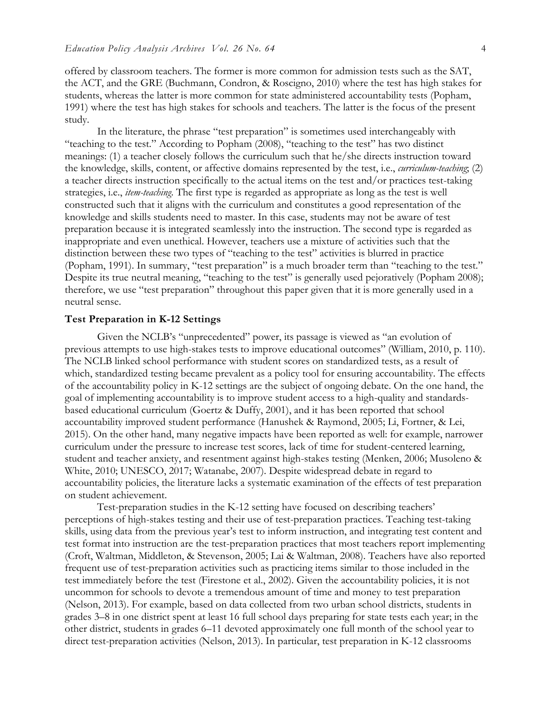offered by classroom teachers. The former is more common for admission tests such as the SAT, the ACT, and the GRE (Buchmann, Condron, & Roscigno, 2010) where the test has high stakes for students, whereas the latter is more common for state administered accountability tests (Popham, 1991) where the test has high stakes for schools and teachers. The latter is the focus of the present study.

In the literature, the phrase "test preparation" is sometimes used interchangeably with "teaching to the test." According to Popham (2008), "teaching to the test" has two distinct meanings: (1) a teacher closely follows the curriculum such that he/she directs instruction toward the knowledge, skills, content, or affective domains represented by the test, i.e., *curriculum-teaching*; (2) a teacher directs instruction specifically to the actual items on the test and/or practices test-taking strategies, i.e., *item-teaching*. The first type is regarded as appropriate as long as the test is well constructed such that it aligns with the curriculum and constitutes a good representation of the knowledge and skills students need to master. In this case, students may not be aware of test preparation because it is integrated seamlessly into the instruction. The second type is regarded as inappropriate and even unethical. However, teachers use a mixture of activities such that the distinction between these two types of "teaching to the test" activities is blurred in practice (Popham, 1991). In summary, "test preparation" is a much broader term than "teaching to the test." Despite its true neutral meaning, "teaching to the test" is generally used pejoratively (Popham 2008); therefore, we use "test preparation" throughout this paper given that it is more generally used in a neutral sense.

#### **Test Preparation in K-12 Settings**

Given the NCLB's "unprecedented" power, its passage is viewed as "an evolution of previous attempts to use high-stakes tests to improve educational outcomes" (William, 2010, p. 110). The NCLB linked school performance with student scores on standardized tests, as a result of which, standardized testing became prevalent as a policy tool for ensuring accountability. The effects of the accountability policy in K-12 settings are the subject of ongoing debate. On the one hand, the goal of implementing accountability is to improve student access to a high-quality and standardsbased educational curriculum (Goertz & Duffy, 2001), and it has been reported that school accountability improved student performance (Hanushek & Raymond, 2005; Li, Fortner, & Lei, 2015). On the other hand, many negative impacts have been reported as well: for example, narrower curriculum under the pressure to increase test scores, lack of time for student-centered learning, student and teacher anxiety, and resentment against high-stakes testing (Menken, 2006; Musoleno & White, 2010; UNESCO, 2017; Watanabe, 2007). Despite widespread debate in regard to accountability policies, the literature lacks a systematic examination of the effects of test preparation on student achievement.

Test-preparation studies in the K-12 setting have focused on describing teachers' perceptions of high-stakes testing and their use of test-preparation practices. Teaching test-taking skills, using data from the previous year's test to inform instruction, and integrating test content and test format into instruction are the test-preparation practices that most teachers report implementing (Croft, Waltman, Middleton, & Stevenson, 2005; Lai & Waltman, 2008). Teachers have also reported frequent use of test-preparation activities such as practicing items similar to those included in the test immediately before the test (Firestone et al., 2002). Given the accountability policies, it is not uncommon for schools to devote a tremendous amount of time and money to test preparation (Nelson, 2013). For example, based on data collected from two urban school districts, students in grades 3–8 in one district spent at least 16 full school days preparing for state tests each year; in the other district, students in grades 6–11 devoted approximately one full month of the school year to direct test-preparation activities (Nelson, 2013). In particular, test preparation in K-12 classrooms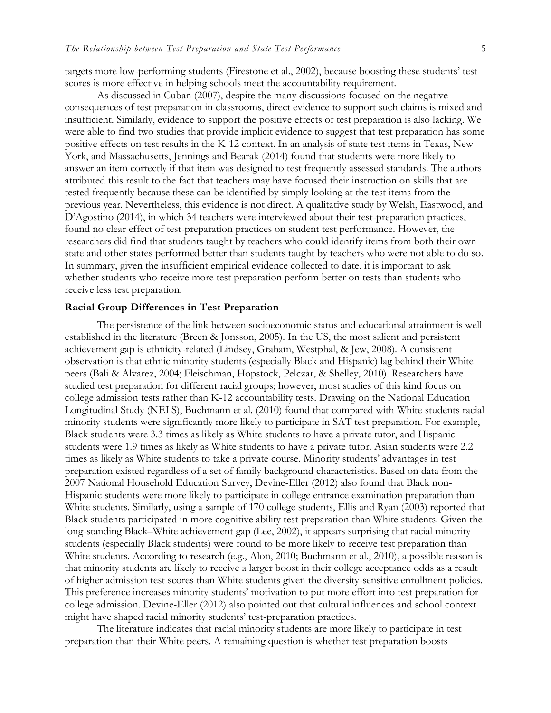targets more low-performing students (Firestone et al., 2002), because boosting these students' test scores is more effective in helping schools meet the accountability requirement.

As discussed in Cuban (2007), despite the many discussions focused on the negative consequences of test preparation in classrooms, direct evidence to support such claims is mixed and insufficient. Similarly, evidence to support the positive effects of test preparation is also lacking. We were able to find two studies that provide implicit evidence to suggest that test preparation has some positive effects on test results in the K-12 context. In an analysis of state test items in Texas, New York, and Massachusetts, Jennings and Bearak (2014) found that students were more likely to answer an item correctly if that item was designed to test frequently assessed standards. The authors attributed this result to the fact that teachers may have focused their instruction on skills that are tested frequently because these can be identified by simply looking at the test items from the previous year. Nevertheless, this evidence is not direct. A qualitative study by Welsh, Eastwood, and D'Agostino (2014), in which 34 teachers were interviewed about their test-preparation practices, found no clear effect of test-preparation practices on student test performance. However, the researchers did find that students taught by teachers who could identify items from both their own state and other states performed better than students taught by teachers who were not able to do so. In summary, given the insufficient empirical evidence collected to date, it is important to ask whether students who receive more test preparation perform better on tests than students who receive less test preparation.

### **Racial Group Differences in Test Preparation**

The persistence of the link between socioeconomic status and educational attainment is well established in the literature (Breen & Jonsson, 2005). In the US, the most salient and persistent achievement gap is ethnicity-related (Lindsey, Graham, Westphal, & Jew, 2008). A consistent observation is that ethnic minority students (especially Black and Hispanic) lag behind their White peers (Bali & Alvarez, 2004; Fleischman, Hopstock, Pelczar, & Shelley, 2010). Researchers have studied test preparation for different racial groups; however, most studies of this kind focus on college admission tests rather than K-12 accountability tests. Drawing on the National Education Longitudinal Study (NELS), Buchmann et al. (2010) found that compared with White students racial minority students were significantly more likely to participate in SAT test preparation. For example, Black students were 3.3 times as likely as White students to have a private tutor, and Hispanic students were 1.9 times as likely as White students to have a private tutor. Asian students were 2.2 times as likely as White students to take a private course. Minority students' advantages in test preparation existed regardless of a set of family background characteristics. Based on data from the 2007 National Household Education Survey, Devine-Eller (2012) also found that Black non-Hispanic students were more likely to participate in college entrance examination preparation than White students. Similarly, using a sample of 170 college students, Ellis and Ryan (2003) reported that Black students participated in more cognitive ability test preparation than White students. Given the long-standing Black–White achievement gap (Lee, 2002), it appears surprising that racial minority students (especially Black students) were found to be more likely to receive test preparation than White students. According to research (e.g., Alon, 2010; Buchmann et al., 2010), a possible reason is that minority students are likely to receive a larger boost in their college acceptance odds as a result of higher admission test scores than White students given the diversity-sensitive enrollment policies. This preference increases minority students' motivation to put more effort into test preparation for college admission. Devine-Eller (2012) also pointed out that cultural influences and school context might have shaped racial minority students' test-preparation practices.

The literature indicates that racial minority students are more likely to participate in test preparation than their White peers. A remaining question is whether test preparation boosts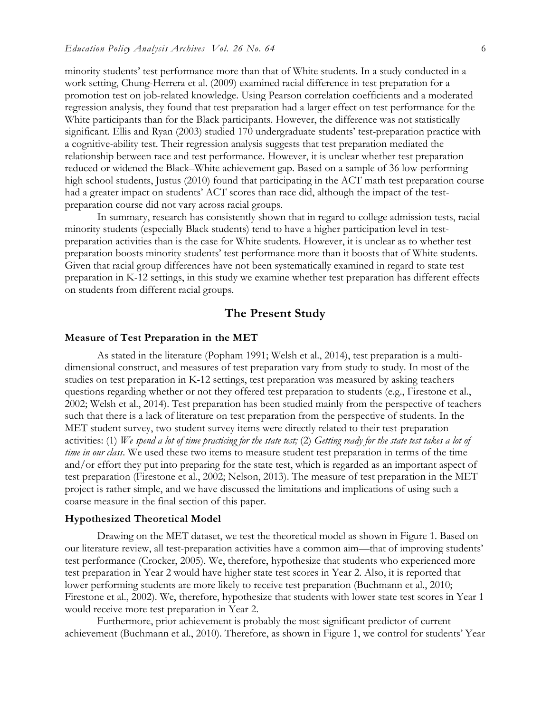minority students' test performance more than that of White students. In a study conducted in a work setting, Chung-Herrera et al. (2009) examined racial difference in test preparation for a promotion test on job-related knowledge. Using Pearson correlation coefficients and a moderated regression analysis, they found that test preparation had a larger effect on test performance for the White participants than for the Black participants. However, the difference was not statistically significant. Ellis and Ryan (2003) studied 170 undergraduate students' test-preparation practice with a cognitive-ability test. Their regression analysis suggests that test preparation mediated the relationship between race and test performance. However, it is unclear whether test preparation reduced or widened the Black–White achievement gap. Based on a sample of 36 low-performing high school students, Justus (2010) found that participating in the ACT math test preparation course had a greater impact on students' ACT scores than race did, although the impact of the testpreparation course did not vary across racial groups.

In summary, research has consistently shown that in regard to college admission tests, racial minority students (especially Black students) tend to have a higher participation level in testpreparation activities than is the case for White students. However, it is unclear as to whether test preparation boosts minority students' test performance more than it boosts that of White students. Given that racial group differences have not been systematically examined in regard to state test preparation in K-12 settings, in this study we examine whether test preparation has different effects on students from different racial groups.

## **The Present Study**

#### **Measure of Test Preparation in the MET**

As stated in the literature (Popham 1991; Welsh et al., 2014), test preparation is a multidimensional construct, and measures of test preparation vary from study to study. In most of the studies on test preparation in K-12 settings, test preparation was measured by asking teachers questions regarding whether or not they offered test preparation to students (e.g., Firestone et al., 2002; Welsh et al., 2014). Test preparation has been studied mainly from the perspective of teachers such that there is a lack of literature on test preparation from the perspective of students. In the MET student survey, two student survey items were directly related to their test-preparation activities: (1) *We spend a lot of time practicing for the state test;* (2) *Getting ready for the state test takes a lot of time in our class*. We used these two items to measure student test preparation in terms of the time and/or effort they put into preparing for the state test, which is regarded as an important aspect of test preparation (Firestone et al., 2002; Nelson, 2013). The measure of test preparation in the MET project is rather simple, and we have discussed the limitations and implications of using such a coarse measure in the final section of this paper.

#### **Hypothesized Theoretical Model**

Drawing on the MET dataset, we test the theoretical model as shown in Figure 1. Based on our literature review, all test-preparation activities have a common aim—that of improving students' test performance (Crocker, 2005). We, therefore, hypothesize that students who experienced more test preparation in Year 2 would have higher state test scores in Year 2. Also, it is reported that lower performing students are more likely to receive test preparation (Buchmann et al., 2010; Firestone et al., 2002). We, therefore, hypothesize that students with lower state test scores in Year 1 would receive more test preparation in Year 2.

Furthermore, prior achievement is probably the most significant predictor of current achievement (Buchmann et al., 2010). Therefore, as shown in Figure 1, we control for students' Year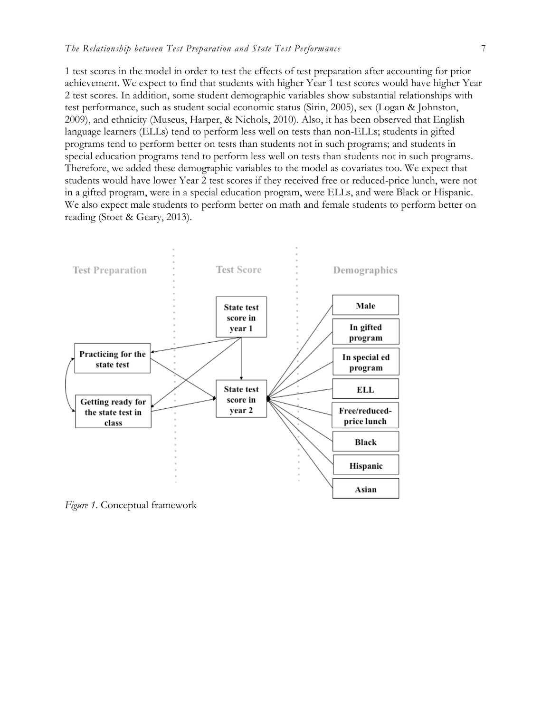1 test scores in the model in order to test the effects of test preparation after accounting for prior achievement. We expect to find that students with higher Year 1 test scores would have higher Year 2 test scores. In addition, some student demographic variables show substantial relationships with test performance, such as student social economic status (Sirin, 2005), sex (Logan & Johnston, 2009), and ethnicity (Museus, Harper, & Nichols, 2010). Also, it has been observed that English language learners (ELLs) tend to perform less well on tests than non-ELLs; students in gifted programs tend to perform better on tests than students not in such programs; and students in special education programs tend to perform less well on tests than students not in such programs. Therefore, we added these demographic variables to the model as covariates too. We expect that students would have lower Year 2 test scores if they received free or reduced-price lunch, were not in a gifted program, were in a special education program, were ELLs, and were Black or Hispanic. We also expect male students to perform better on math and female students to perform better on reading (Stoet & Geary, 2013).



*Figure 1*. Conceptual framework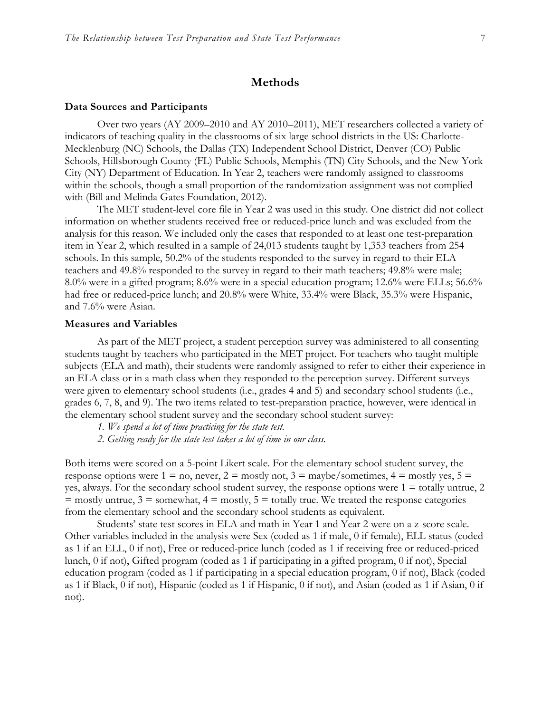## **Methods**

#### **Data Sources and Participants**

Over two years (AY 2009–2010 and AY 2010–2011), MET researchers collected a variety of indicators of teaching quality in the classrooms of six large school districts in the US: Charlotte-Mecklenburg (NC) Schools, the Dallas (TX) Independent School District, Denver (CO) Public Schools, Hillsborough County (FL) Public Schools, Memphis (TN) City Schools, and the New York City (NY) Department of Education. In Year 2, teachers were randomly assigned to classrooms within the schools, though a small proportion of the randomization assignment was not complied with (Bill and Melinda Gates Foundation, 2012).

The MET student-level core file in Year 2 was used in this study. One district did not collect information on whether students received free or reduced-price lunch and was excluded from the analysis for this reason. We included only the cases that responded to at least one test-preparation item in Year 2, which resulted in a sample of 24,013 students taught by 1,353 teachers from 254 schools. In this sample, 50.2% of the students responded to the survey in regard to their ELA teachers and 49.8% responded to the survey in regard to their math teachers; 49.8% were male; 8.0% were in a gifted program; 8.6% were in a special education program; 12.6% were ELLs; 56.6% had free or reduced-price lunch; and 20.8% were White, 33.4% were Black, 35.3% were Hispanic, and 7.6% were Asian.

#### **Measures and Variables**

As part of the MET project, a student perception survey was administered to all consenting students taught by teachers who participated in the MET project. For teachers who taught multiple subjects (ELA and math), their students were randomly assigned to refer to either their experience in an ELA class or in a math class when they responded to the perception survey. Different surveys were given to elementary school students (i.e., grades 4 and 5) and secondary school students (i.e., grades 6, 7, 8, and 9). The two items related to test-preparation practice, however, were identical in the elementary school student survey and the secondary school student survey:

- *1. We spend a lot of time practicing for the state test.*
- *2. Getting ready for the state test takes a lot of time in our class.*

Both items were scored on a 5-point Likert scale. For the elementary school student survey, the response options were  $1 = no$ , never,  $2 = \text{mostly not}$ ,  $3 = \text{maybe/sometimes}$ ,  $4 = \text{mostly yes}$ ,  $5 =$ yes, always. For the secondary school student survey, the response options were  $1 =$  totally untrue, 2  $=$  mostly untrue,  $3 =$  somewhat,  $4 =$  mostly,  $5 =$  totally true. We treated the response categories from the elementary school and the secondary school students as equivalent.

Students' state test scores in ELA and math in Year 1 and Year 2 were on a z-score scale. Other variables included in the analysis were Sex (coded as 1 if male, 0 if female), ELL status (coded as 1 if an ELL, 0 if not), Free or reduced-price lunch (coded as 1 if receiving free or reduced-priced lunch, 0 if not), Gifted program (coded as 1 if participating in a gifted program, 0 if not), Special education program (coded as 1 if participating in a special education program, 0 if not), Black (coded as 1 if Black, 0 if not), Hispanic (coded as 1 if Hispanic, 0 if not), and Asian (coded as 1 if Asian, 0 if not).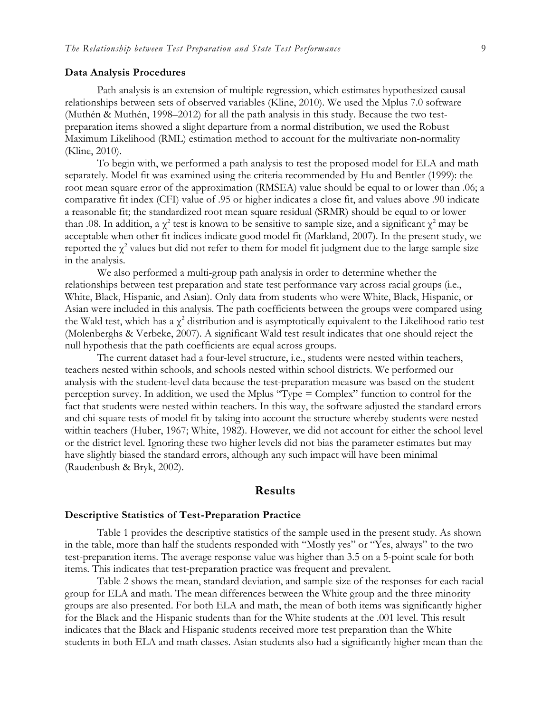#### **Data Analysis Procedures**

Path analysis is an extension of multiple regression, which estimates hypothesized causal relationships between sets of observed variables (Kline, 2010). We used the Mplus 7.0 software (Muthén & Muthén, 1998–2012) for all the path analysis in this study. Because the two testpreparation items showed a slight departure from a normal distribution, we used the Robust Maximum Likelihood (RML) estimation method to account for the multivariate non-normality (Kline, 2010).

To begin with, we performed a path analysis to test the proposed model for ELA and math separately. Model fit was examined using the criteria recommended by Hu and Bentler (1999): the root mean square error of the approximation (RMSEA) value should be equal to or lower than .06; a comparative fit index (CFI) value of .95 or higher indicates a close fit, and values above .90 indicate a reasonable fit; the standardized root mean square residual (SRMR) should be equal to or lower than .08. In addition, a  $\chi^2$  test is known to be sensitive to sample size, and a significant  $\chi^2$  may be acceptable when other fit indices indicate good model fit (Markland, 2007). In the present study, we reported the  $\chi^2$  values but did not refer to them for model fit judgment due to the large sample size in the analysis.

We also performed a multi-group path analysis in order to determine whether the relationships between test preparation and state test performance vary across racial groups (i.e., White, Black, Hispanic, and Asian). Only data from students who were White, Black, Hispanic, or Asian were included in this analysis. The path coefficients between the groups were compared using the Wald test, which has a  $\chi^2$  distribution and is asymptotically equivalent to the Likelihood ratio test (Molenberghs & Verbeke, 2007). A significant Wald test result indicates that one should reject the null hypothesis that the path coefficients are equal across groups.

The current dataset had a four-level structure, i.e., students were nested within teachers, teachers nested within schools, and schools nested within school districts. We performed our analysis with the student-level data because the test-preparation measure was based on the student perception survey. In addition, we used the Mplus "Type = Complex" function to control for the fact that students were nested within teachers. In this way, the software adjusted the standard errors and chi-square tests of model fit by taking into account the structure whereby students were nested within teachers (Huber, 1967; White, 1982). However, we did not account for either the school level or the district level. Ignoring these two higher levels did not bias the parameter estimates but may have slightly biased the standard errors, although any such impact will have been minimal (Raudenbush & Bryk, 2002).

## **Results**

### **Descriptive Statistics of Test-Preparation Practice**

Table 1 provides the descriptive statistics of the sample used in the present study. As shown in the table, more than half the students responded with "Mostly yes" or "Yes, always" to the two test-preparation items. The average response value was higher than 3.5 on a 5-point scale for both items. This indicates that test-preparation practice was frequent and prevalent.

Table 2 shows the mean, standard deviation, and sample size of the responses for each racial group for ELA and math. The mean differences between the White group and the three minority groups are also presented. For both ELA and math, the mean of both items was significantly higher for the Black and the Hispanic students than for the White students at the .001 level. This result indicates that the Black and Hispanic students received more test preparation than the White students in both ELA and math classes. Asian students also had a significantly higher mean than the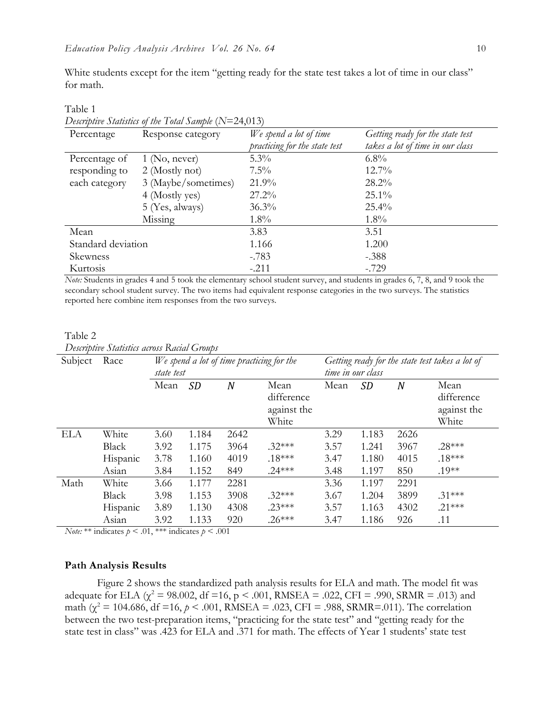White students except for the item "getting ready for the state test takes a lot of time in our class" for math.

| Percentage<br>Response category |                     | We spend a lot of time        | Getting ready for the state test |  |  |
|---------------------------------|---------------------|-------------------------------|----------------------------------|--|--|
|                                 |                     | practicing for the state test | takes a lot of time in our class |  |  |
| Percentage of                   | $1$ (No, never)     | $5.3\%$                       | $6.8\%$                          |  |  |
| responding to                   | 2 (Mostly not)      | $7.5\%$                       | $12.7\%$                         |  |  |
| each category                   | 3 (Maybe/sometimes) | 21.9%                         | $28.2\%$                         |  |  |
|                                 | 4 (Mostly yes)      | $27.2\%$                      | $25.1\%$                         |  |  |
|                                 | 5 (Yes, always)     | $36.3\%$                      | $25.4\%$                         |  |  |
|                                 | Missing             | $1.8\%$                       | $1.8\%$                          |  |  |
| Mean                            |                     | 3.83                          | 3.51                             |  |  |
| Standard deviation              |                     | 1.166                         | 1.200                            |  |  |
| Skewness                        |                     | $-.783$                       | $-.388$                          |  |  |
| Kurtosis                        |                     | $-.211$                       | $-.729$                          |  |  |

# *Descriptive Statistics of the Total Sample* (*N*=24,013)

Table 1

*Note:* Students in grades 4 and 5 took the elementary school student survey, and students in grades 6, 7, 8, and 9 took the secondary school student survey. The two items had equivalent response categories in the two surveys. The statistics reported here combine item responses from the two surveys.

### Table 2 *Descriptive Statistics across Racial Groups*

| Subject    | Race         | We spend a lot of time practicing for the<br>state test |       |                  | Getting ready for the state test takes a lot of<br>time in our class |      |       |      |                                            |
|------------|--------------|---------------------------------------------------------|-------|------------------|----------------------------------------------------------------------|------|-------|------|--------------------------------------------|
|            |              | Mean                                                    | SD    | $\boldsymbol{N}$ | Mean<br>difference<br>against the<br>White                           | Mean | SD    | N    | Mean<br>difference<br>against the<br>White |
| <b>ELA</b> | White        | 3.60                                                    | 1.184 | 2642             |                                                                      | 3.29 | 1.183 | 2626 |                                            |
|            | <b>Black</b> | 3.92                                                    | 1.175 | 3964             | $.32***$                                                             | 3.57 | 1.241 | 3967 | $.28***$                                   |
|            | Hispanic     | 3.78                                                    | 1.160 | 4019             | $.18***$                                                             | 3.47 | 1.180 | 4015 | $.18***$                                   |
|            | Asian        | 3.84                                                    | 1.152 | 849              | $.24***$                                                             | 3.48 | 1.197 | 850  | $.19**$                                    |
| Math       | White        | 3.66                                                    | 1.177 | 2281             |                                                                      | 3.36 | 1.197 | 2291 |                                            |
|            | <b>Black</b> | 3.98                                                    | 1.153 | 3908             | $.32***$                                                             | 3.67 | 1.204 | 3899 | $.31***$                                   |
|            | Hispanic     | 3.89                                                    | 1.130 | 4308             | $.23***$                                                             | 3.57 | 1.163 | 4302 | $.21***$                                   |
|            | Asian        | 3.92                                                    | 1.133 | 920              | $.26***$                                                             | 3.47 | 1.186 | 926  | .11                                        |

*Note:* \*\* indicates  $p < .01$ , \*\*\* indicates  $p < .001$ 

#### **Path Analysis Results**

Figure 2 shows the standardized path analysis results for ELA and math. The model fit was adequate for ELA ( $\chi^2$  = 98.002, df =16, p < .001, RMSEA = .022, CFI = .990, SRMR = .013) and math ( $\chi^2$  = 104.686, df =16,  $p < .001$ , RMSEA = .023, CFI = .988, SRMR=.011). The correlation between the two test-preparation items, "practicing for the state test" and "getting ready for the state test in class" was .423 for ELA and .371 for math. The effects of Year 1 students' state test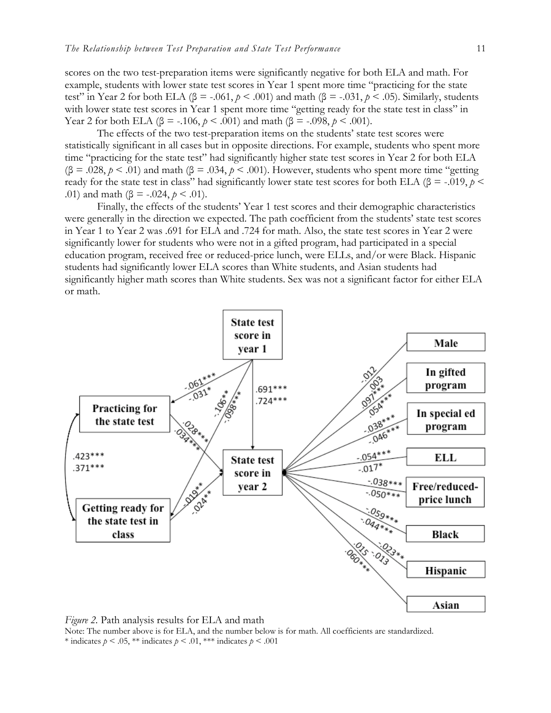scores on the two test-preparation items were significantly negative for both ELA and math. For example, students with lower state test scores in Year 1 spent more time "practicing for the state test" in Year 2 for both ELA ( $\beta$  = -.061,  $p < .001$ ) and math ( $\beta$  = -.031,  $p < .05$ ). Similarly, students with lower state test scores in Year 1 spent more time "getting ready for the state test in class" in Year 2 for both ELA (β = -.106, *p* < .001) and math (β = -.098, *p* < .001).

The effects of the two test-preparation items on the students' state test scores were statistically significant in all cases but in opposite directions. For example, students who spent more time "practicing for the state test" had significantly higher state test scores in Year 2 for both ELA ( $\beta$  = .028,  $p < .01$ ) and math ( $\beta$  = .034,  $p < .001$ ). However, students who spent more time "getting" ready for the state test in class" had significantly lower state test scores for both ELA ( $\beta$  = -.019,  $p$  < .01) and math  $(\beta = -.024, p < .01)$ .

Finally, the effects of the students' Year 1 test scores and their demographic characteristics were generally in the direction we expected. The path coefficient from the students' state test scores in Year 1 to Year 2 was .691 for ELA and .724 for math. Also, the state test scores in Year 2 were significantly lower for students who were not in a gifted program, had participated in a special education program, received free or reduced-price lunch, were ELLs, and/or were Black. Hispanic students had significantly lower ELA scores than White students, and Asian students had significantly higher math scores than White students. Sex was not a significant factor for either ELA or math.



*Figure 2.* Path analysis results for ELA and math Note: The number above is for ELA, and the number below is for math. All coefficients are standardized. \* indicates  $p < .05$ , \*\* indicates  $p < .01$ , \*\*\* indicates  $p < .001$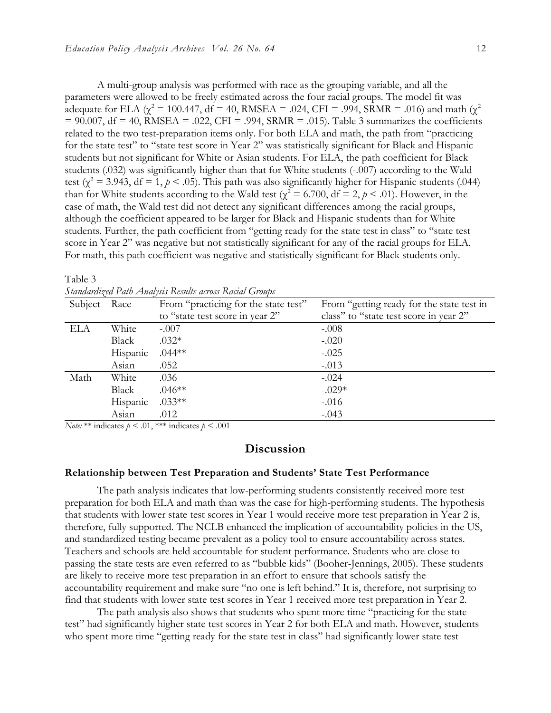A multi-group analysis was performed with race as the grouping variable, and all the parameters were allowed to be freely estimated across the four racial groups. The model fit was adequate for ELA ( $\chi^2$  = 100.447, df = 40, RMSEA = .024, CFI = .994, SRMR = .016) and math ( $\chi^2$  $= 90.007$ , df = 40, RMSEA = .022, CFI = .994, SRMR = .015). Table 3 summarizes the coefficients related to the two test-preparation items only. For both ELA and math, the path from "practicing for the state test" to "state test score in Year 2" was statistically significant for Black and Hispanic students but not significant for White or Asian students. For ELA, the path coefficient for Black students (.032) was significantly higher than that for White students (-.007) according to the Wald test ( $\chi^2$  = 3.943, df = 1,  $p$  < .05). This path was also significantly higher for Hispanic students (.044) than for White students according to the Wald test ( $\chi^2$  = 6.700, df = 2,  $p$  < .01). However, in the case of math, the Wald test did not detect any significant differences among the racial groups, although the coefficient appeared to be larger for Black and Hispanic students than for White students. Further, the path coefficient from "getting ready for the state test in class" to "state test score in Year 2" was negative but not statistically significant for any of the racial groups for ELA. For math, this path coefficient was negative and statistically significant for Black students only.

|              |          | Standaraizea Path Analysis Results across Racial Groups |                                           |  |  |
|--------------|----------|---------------------------------------------------------|-------------------------------------------|--|--|
| Subject Race |          | From "practicing for the state test"                    | From "getting ready for the state test in |  |  |
|              |          | to "state test score in year 2"                         | class" to "state test score in year 2"    |  |  |
| ELA          | White    | $-.007$                                                 | $-.008$                                   |  |  |
|              | Black    | $.032*$                                                 | $-.020$                                   |  |  |
|              | Hispanic | $.044**$                                                | $-.025$                                   |  |  |
|              | Asian    | .052                                                    | $-.013$                                   |  |  |
| Math         | White    | .036                                                    | $-.024$                                   |  |  |
|              | Black    | $.046**$                                                | $-.029*$                                  |  |  |
|              | Hispanic | $.033**$                                                | $-.016$                                   |  |  |
|              | Asian    | .012                                                    | $-.043$                                   |  |  |

Table 3 *Standardized Path Analysis Results across Racial Groups*

*Note:* \*\* indicates  $p < .01$ , \*\*\* indicates  $p < .001$ 

## **Discussion**

#### **Relationship between Test Preparation and Students' State Test Performance**

The path analysis indicates that low-performing students consistently received more test preparation for both ELA and math than was the case for high-performing students. The hypothesis that students with lower state test scores in Year 1 would receive more test preparation in Year 2 is, therefore, fully supported. The NCLB enhanced the implication of accountability policies in the US, and standardized testing became prevalent as a policy tool to ensure accountability across states. Teachers and schools are held accountable for student performance. Students who are close to passing the state tests are even referred to as "bubble kids" (Booher-Jennings, 2005). These students are likely to receive more test preparation in an effort to ensure that schools satisfy the accountability requirement and make sure "no one is left behind." It is, therefore, not surprising to find that students with lower state test scores in Year 1 received more test preparation in Year 2.

The path analysis also shows that students who spent more time "practicing for the state test" had significantly higher state test scores in Year 2 for both ELA and math. However, students who spent more time "getting ready for the state test in class" had significantly lower state test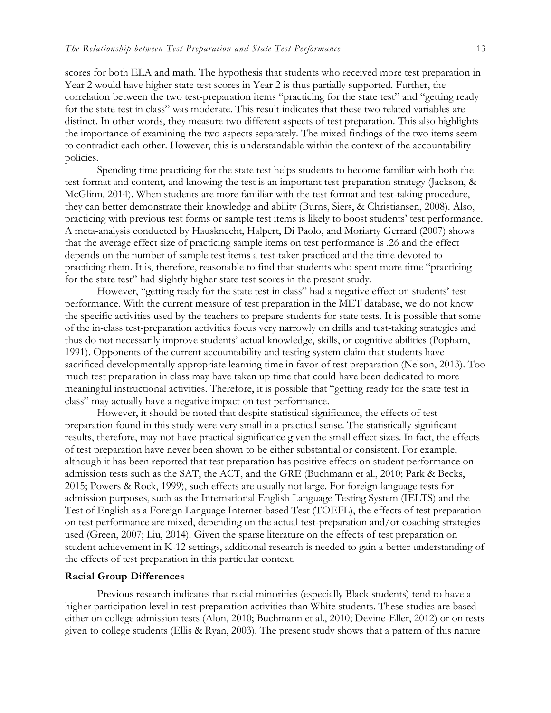scores for both ELA and math. The hypothesis that students who received more test preparation in Year 2 would have higher state test scores in Year 2 is thus partially supported. Further, the correlation between the two test-preparation items "practicing for the state test" and "getting ready for the state test in class" was moderate. This result indicates that these two related variables are distinct. In other words, they measure two different aspects of test preparation. This also highlights the importance of examining the two aspects separately. The mixed findings of the two items seem to contradict each other. However, this is understandable within the context of the accountability policies.

Spending time practicing for the state test helps students to become familiar with both the test format and content, and knowing the test is an important test-preparation strategy (Jackson, & McGlinn, 2014). When students are more familiar with the test format and test-taking procedure, they can better demonstrate their knowledge and ability (Burns, Siers, & Christiansen, 2008). Also, practicing with previous test forms or sample test items is likely to boost students' test performance. A meta-analysis conducted by Hausknecht, Halpert, Di Paolo, and Moriarty Gerrard (2007) shows that the average effect size of practicing sample items on test performance is .26 and the effect depends on the number of sample test items a test-taker practiced and the time devoted to practicing them. It is, therefore, reasonable to find that students who spent more time "practicing for the state test" had slightly higher state test scores in the present study.

However, "getting ready for the state test in class" had a negative effect on students' test performance. With the current measure of test preparation in the MET database, we do not know the specific activities used by the teachers to prepare students for state tests. It is possible that some of the in-class test-preparation activities focus very narrowly on drills and test-taking strategies and thus do not necessarily improve students' actual knowledge, skills, or cognitive abilities (Popham, 1991). Opponents of the current accountability and testing system claim that students have sacrificed developmentally appropriate learning time in favor of test preparation (Nelson, 2013). Too much test preparation in class may have taken up time that could have been dedicated to more meaningful instructional activities. Therefore, it is possible that "getting ready for the state test in class" may actually have a negative impact on test performance.

However, it should be noted that despite statistical significance, the effects of test preparation found in this study were very small in a practical sense. The statistically significant results, therefore, may not have practical significance given the small effect sizes. In fact, the effects of test preparation have never been shown to be either substantial or consistent. For example, although it has been reported that test preparation has positive effects on student performance on admission tests such as the SAT, the ACT, and the GRE (Buchmann et al., 2010; Park & Becks, 2015; Powers & Rock, 1999), such effects are usually not large. For foreign-language tests for admission purposes, such as the International English Language Testing System (IELTS) and the Test of English as a Foreign Language Internet-based Test (TOEFL), the effects of test preparation on test performance are mixed, depending on the actual test-preparation and/or coaching strategies used (Green, 2007; Liu, 2014). Given the sparse literature on the effects of test preparation on student achievement in K-12 settings, additional research is needed to gain a better understanding of the effects of test preparation in this particular context.

#### **Racial Group Differences**

Previous research indicates that racial minorities (especially Black students) tend to have a higher participation level in test-preparation activities than White students. These studies are based either on college admission tests (Alon, 2010; Buchmann et al., 2010; Devine-Eller, 2012) or on tests given to college students (Ellis & Ryan, 2003). The present study shows that a pattern of this nature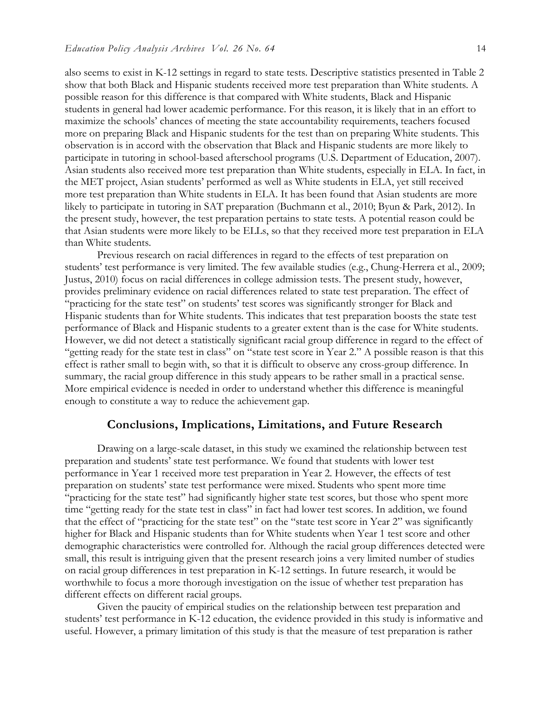also seems to exist in K-12 settings in regard to state tests. Descriptive statistics presented in Table 2 show that both Black and Hispanic students received more test preparation than White students. A possible reason for this difference is that compared with White students, Black and Hispanic students in general had lower academic performance. For this reason, it is likely that in an effort to maximize the schools' chances of meeting the state accountability requirements, teachers focused more on preparing Black and Hispanic students for the test than on preparing White students. This observation is in accord with the observation that Black and Hispanic students are more likely to participate in tutoring in school-based afterschool programs (U.S. Department of Education, 2007). Asian students also received more test preparation than White students, especially in ELA. In fact, in the MET project, Asian students' performed as well as White students in ELA, yet still received more test preparation than White students in ELA. It has been found that Asian students are more likely to participate in tutoring in SAT preparation (Buchmann et al., 2010; Byun & Park, 2012). In the present study, however, the test preparation pertains to state tests. A potential reason could be that Asian students were more likely to be ELLs, so that they received more test preparation in ELA than White students.

Previous research on racial differences in regard to the effects of test preparation on students' test performance is very limited. The few available studies (e.g., Chung-Herrera et al., 2009; Justus, 2010) focus on racial differences in college admission tests. The present study, however, provides preliminary evidence on racial differences related to state test preparation. The effect of "practicing for the state test" on students' test scores was significantly stronger for Black and Hispanic students than for White students. This indicates that test preparation boosts the state test performance of Black and Hispanic students to a greater extent than is the case for White students. However, we did not detect a statistically significant racial group difference in regard to the effect of "getting ready for the state test in class" on "state test score in Year 2." A possible reason is that this effect is rather small to begin with, so that it is difficult to observe any cross-group difference. In summary, the racial group difference in this study appears to be rather small in a practical sense. More empirical evidence is needed in order to understand whether this difference is meaningful enough to constitute a way to reduce the achievement gap.

## **Conclusions, Implications, Limitations, and Future Research**

Drawing on a large-scale dataset, in this study we examined the relationship between test preparation and students' state test performance. We found that students with lower test performance in Year 1 received more test preparation in Year 2. However, the effects of test preparation on students' state test performance were mixed. Students who spent more time "practicing for the state test" had significantly higher state test scores, but those who spent more time "getting ready for the state test in class" in fact had lower test scores. In addition, we found that the effect of "practicing for the state test" on the "state test score in Year 2" was significantly higher for Black and Hispanic students than for White students when Year 1 test score and other demographic characteristics were controlled for. Although the racial group differences detected were small, this result is intriguing given that the present research joins a very limited number of studies on racial group differences in test preparation in K-12 settings. In future research, it would be worthwhile to focus a more thorough investigation on the issue of whether test preparation has different effects on different racial groups.

Given the paucity of empirical studies on the relationship between test preparation and students' test performance in K-12 education, the evidence provided in this study is informative and useful. However, a primary limitation of this study is that the measure of test preparation is rather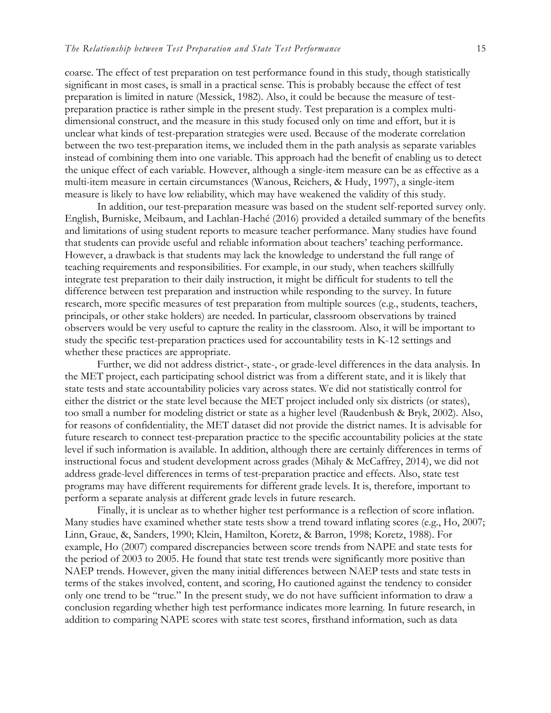coarse. The effect of test preparation on test performance found in this study, though statistically significant in most cases, is small in a practical sense. This is probably because the effect of test preparation is limited in nature (Messick, 1982). Also, it could be because the measure of testpreparation practice is rather simple in the present study. Test preparation is a complex multidimensional construct, and the measure in this study focused only on time and effort, but it is unclear what kinds of test-preparation strategies were used. Because of the moderate correlation between the two test-preparation items, we included them in the path analysis as separate variables instead of combining them into one variable. This approach had the benefit of enabling us to detect the unique effect of each variable. However, although a single-item measure can be as effective as a multi-item measure in certain circumstances (Wanous, Reichers, & Hudy, 1997), a single-item measure is likely to have low reliability, which may have weakened the validity of this study.

In addition, our test-preparation measure was based on the student self-reported survey only. English, Burniske, Meibaum, and Lachlan-Haché (2016) provided a detailed summary of the benefits and limitations of using student reports to measure teacher performance. Many studies have found that students can provide useful and reliable information about teachers' teaching performance. However, a drawback is that students may lack the knowledge to understand the full range of teaching requirements and responsibilities. For example, in our study, when teachers skillfully integrate test preparation to their daily instruction, it might be difficult for students to tell the difference between test preparation and instruction while responding to the survey. In future research, more specific measures of test preparation from multiple sources (e.g., students, teachers, principals, or other stake holders) are needed. In particular, classroom observations by trained observers would be very useful to capture the reality in the classroom. Also, it will be important to study the specific test-preparation practices used for accountability tests in K-12 settings and whether these practices are appropriate.

Further, we did not address district-, state-, or grade-level differences in the data analysis. In the MET project, each participating school district was from a different state, and it is likely that state tests and state accountability policies vary across states. We did not statistically control for either the district or the state level because the MET project included only six districts (or states), too small a number for modeling district or state as a higher level (Raudenbush & Bryk, 2002). Also, for reasons of confidentiality, the MET dataset did not provide the district names. It is advisable for future research to connect test-preparation practice to the specific accountability policies at the state level if such information is available. In addition, although there are certainly differences in terms of instructional focus and student development across grades (Mihaly & McCaffrey, 2014), we did not address grade-level differences in terms of test-preparation practice and effects. Also, state test programs may have different requirements for different grade levels. It is, therefore, important to perform a separate analysis at different grade levels in future research.

Finally, it is unclear as to whether higher test performance is a reflection of score inflation. Many studies have examined whether state tests show a trend toward inflating scores (e.g., Ho, 2007; Linn, Graue, &, Sanders, 1990; Klein, Hamilton, Koretz, & Barron, 1998; Koretz, 1988). For example, Ho (2007) compared discrepancies between score trends from NAPE and state tests for the period of 2003 to 2005. He found that state test trends were significantly more positive than NAEP trends. However, given the many initial differences between NAEP tests and state tests in terms of the stakes involved, content, and scoring, Ho cautioned against the tendency to consider only one trend to be "true." In the present study, we do not have sufficient information to draw a conclusion regarding whether high test performance indicates more learning. In future research, in addition to comparing NAPE scores with state test scores, firsthand information, such as data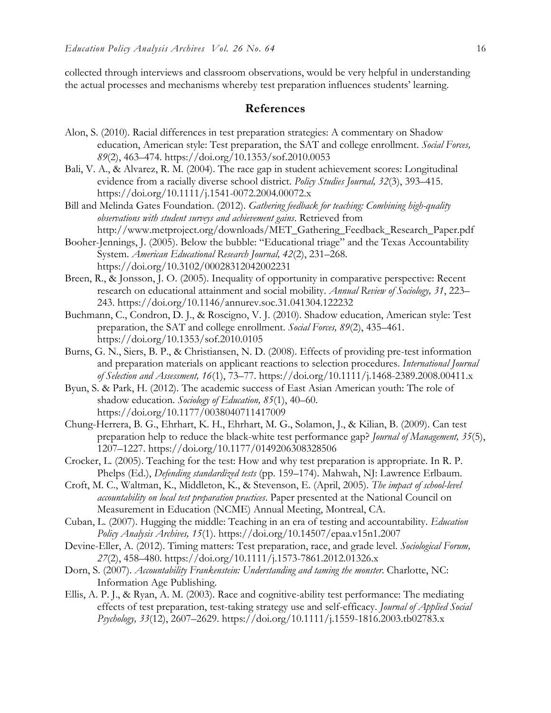collected through interviews and classroom observations, would be very helpful in understanding the actual processes and mechanisms whereby test preparation influences students' learning.

# **References**

- Alon, S. (2010). Racial differences in test preparation strategies: A commentary on Shadow education, American style: Test preparation, the SAT and college enrollment. *Social Forces, 89*(2), 463–474. https://doi.org/10.1353/sof.2010.0053
- Bali, V. A., & Alvarez, R. M. (2004). The race gap in student achievement scores: Longitudinal evidence from a racially diverse school district. *Policy Studies Journal, 32*(3), 393–415. https://doi.org/10.1111/j.1541-0072.2004.00072.x
- Bill and Melinda Gates Foundation. (2012). *Gathering feedback for teaching: Combining high-quality observations with student surveys and achievement gains*. Retrieved from http://www.metproject.org/downloads/MET\_Gathering\_Feedback\_Research\_Paper.pdf
- Booher-Jennings, J. (2005). Below the bubble: "Educational triage" and the Texas Accountability System. *American Educational Research Journal, 42*(2), 231–268. https://doi.org/10.3102/00028312042002231
- Breen, R., & Jonsson, J. O. (2005). Inequality of opportunity in comparative perspective: Recent research on educational attainment and social mobility. *Annual Review of Sociology, 31*, 223– 243. https://doi.org/10.1146/annurev.soc.31.041304.122232
- Buchmann, C., Condron, D. J., & Roscigno, V. J. (2010). Shadow education, American style: Test preparation, the SAT and college enrollment. *Social Forces, 89*(2), 435–461. https://doi.org/10.1353/sof.2010.0105
- Burns, G. N., Siers, B. P., & Christiansen, N. D. (2008). Effects of providing pre-test information and preparation materials on applicant reactions to selection procedures. *International Journal of Selection and Assessment, 16*(1), 73–77. https://doi.org/10.1111/j.1468-2389.2008.00411.x
- Byun, S. & Park, H. (2012). The academic success of East Asian American youth: The role of shadow education. *Sociology of Education, 85*(1), 40–60. https://doi.org/10.1177/0038040711417009
- Chung-Herrera, B. G., Ehrhart, K. H., Ehrhart, M. G., Solamon, J., & Kilian, B. (2009). Can test preparation help to reduce the black-white test performance gap? *Journal of Management, 35*(5), 1207–1227. https://doi.org/10.1177/0149206308328506
- Crocker, L. (2005). Teaching for the test: How and why test preparation is appropriate. In R. P. Phelps (Ed.), *Defending standardized tests* (pp. 159–174). Mahwah, NJ: Lawrence Erlbaum.
- Croft, M. C., Waltman, K., Middleton, K., & Stevenson, E. (April, 2005). *The impact of school-level accountability on local test preparation practices*. Paper presented at the National Council on Measurement in Education (NCME) Annual Meeting, Montreal, CA.
- Cuban, L. (2007). Hugging the middle: Teaching in an era of testing and accountability. *Education Policy Analysis Archives, 15*(1). https://doi.org/10.14507/epaa.v15n1.2007
- Devine-Eller, A. (2012). Timing matters: Test preparation, race, and grade level. *Sociological Forum, 27*(2), 458–480. https://doi.org/10.1111/j.1573-7861.2012.01326.x
- Dorn, S. (2007). *Accountability Frankenstein: Understanding and taming the monster*. Charlotte, NC: Information Age Publishing.
- Ellis, A. P. J., & Ryan, A. M. (2003). Race and cognitive-ability test performance: The mediating effects of test preparation, test-taking strategy use and self-efficacy. *Journal of Applied Social Psychology, 33*(12), 2607–2629. https://doi.org/10.1111/j.1559-1816.2003.tb02783.x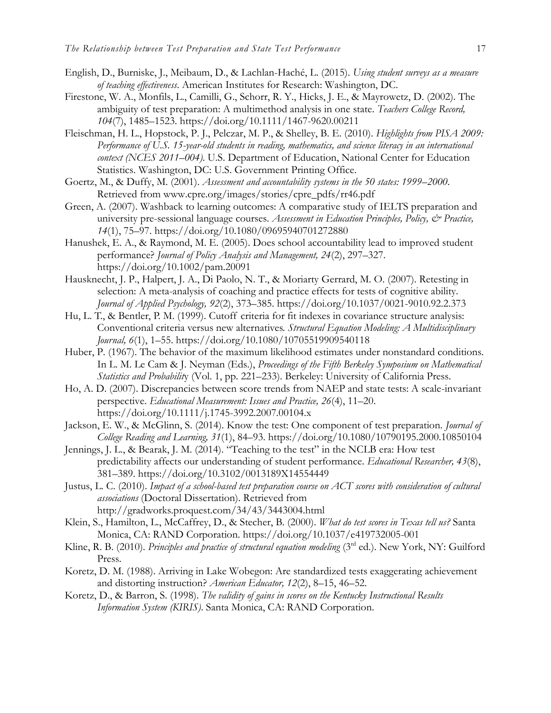- English, D., Burniske, J., Meibaum, D., & Lachlan-Haché, L. (2015). *Using student surveys as a measure of teaching effectiveness*. American Institutes for Research: Washington, DC.
- Firestone, W. A., Monfils, L., Camilli, G., Schorr, R. Y., Hicks, J. E., & Mayrowetz, D. (2002). The ambiguity of test preparation: A multimethod analysis in one state. *Teachers College Record, 104*(7), 1485–1523. https://doi.org/10.1111/1467-9620.00211
- Fleischman, H. L., Hopstock, P. J., Pelczar, M. P., & Shelley, B. E. (2010). *Highlights from PISA 2009: Performance of U.S. 15-year-old students in reading, mathematics, and science literacy in an international context (NCES 2011–004)*. U.S. Department of Education, National Center for Education Statistics. Washington, DC: U.S. Government Printing Office.
- Goertz, M., & Duffy, M. (2001). *Assessment and accountability systems in the 50 states: 1999–2000*. Retrieved from www.cpre.org/images/stories/cpre\_pdfs/rr46.pdf
- Green, A. (2007). Washback to learning outcomes: A comparative study of IELTS preparation and university pre-sessional language courses. *Assessment in Education Principles, Policy, & Practice, 14*(1), 75–97. https://doi.org/10.1080/09695940701272880
- Hanushek, E. A., & Raymond, M. E. (2005). Does school accountability lead to improved student performance? *Journal of Policy Analysis and Management, 24*(2), 297–327. https://doi.org/10.1002/pam.20091
- Hausknecht, J. P., Halpert, J. A., Di Paolo, N. T., & Moriarty Gerrard, M. O. (2007). Retesting in selection: A meta-analysis of coaching and practice effects for tests of cognitive ability. *Journal of Applied Psychology, 92*(2), 373–385. https://doi.org/10.1037/0021-9010.92.2.373
- Hu, L. T., & Bentler, P. M. (1999). Cutoff criteria for fit indexes in covariance structure analysis: Conventional criteria versus new alternatives. *Structural Equation Modeling: A Multidisciplinary Journal, 6*(1), 1–55. https://doi.org/10.1080/10705519909540118
- Huber, P. (1967). The behavior of the maximum likelihood estimates under nonstandard conditions. In L. M. Le Cam & J. Neyman (Eds.), *Proceedings of the Fifth Berkeley Symposium on Mathematical Statistics and Probabilit*y (Vol. 1, pp. 221–233). Berkeley: University of California Press.
- Ho, A. D. (2007). Discrepancies between score trends from NAEP and state tests: A scale-invariant perspective. *Educational Measurement: Issues and Practice, 26*(4), 11–20. https://doi.org/10.1111/j.1745-3992.2007.00104.x
- Jackson, E. W., & McGlinn, S. (2014). Know the test: One component of test preparation. *Journal of College Reading and Learning, 31*(1), 84–93. https://doi.org/10.1080/10790195.2000.10850104
- Jennings, J. L., & Bearak, J. M. (2014). "Teaching to the test" in the NCLB era: How test predictability affects our understanding of student performance. *Educational Researcher, 43*(8), 381–389. https://doi.org/10.3102/0013189X14554449
- Justus, L. C. (2010). *Impact of a school-based test preparation course on ACT scores with consideration of cultural associations* (Doctoral Dissertation). Retrieved from http://gradworks.proquest.com/34/43/3443004.html
- Klein, S., Hamilton, L., McCaffrey, D., & Stecher, B. (2000). *What do test scores in Texas tell us?* Santa Monica, CA: RAND Corporation. https://doi.org/10.1037/e419732005-001
- Kline, R. B. (2010). *Principles and practice of structural equation modeling* (3<sup>rd</sup> ed.). New York, NY: Guilford Press.
- Koretz, D. M. (1988). Arriving in Lake Wobegon: Are standardized tests exaggerating achievement and distorting instruction? *American Educator, 12*(2), 8–15, 46–52.
- Koretz, D., & Barron, S. (1998). *The validity of gains in scores on the Kentucky Instructional Results Information System (KIRIS)*. Santa Monica, CA: RAND Corporation.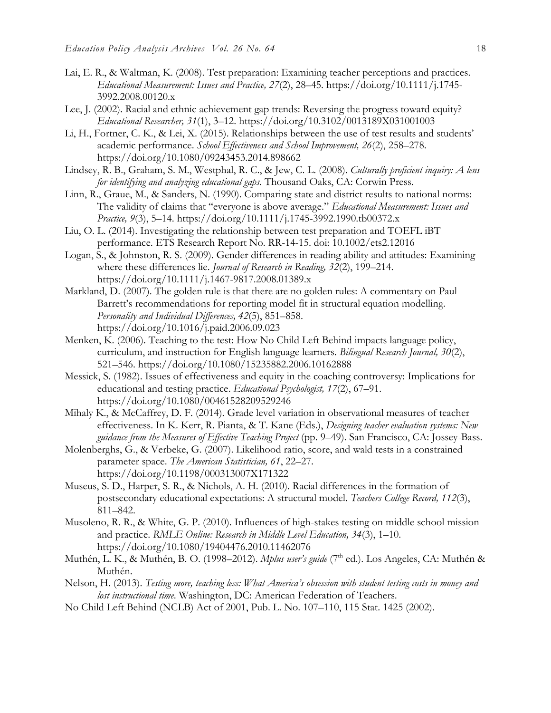- Lai, E. R., & Waltman, K. (2008). Test preparation: Examining teacher perceptions and practices. *Educational Measurement: Issues and Practice, 27*(2), 28–45. https://doi.org/10.1111/j.1745- 3992.2008.00120.x
- Lee, J. (2002). Racial and ethnic achievement gap trends: Reversing the progress toward equity? *Educational Researcher, 31*(1), 3–12. https://doi.org/10.3102/0013189X031001003
- Li, H., Fortner, C. K., & Lei, X. (2015). Relationships between the use of test results and students' academic performance. *School Effectiveness and School Improvement, 26*(2), 258–278. https://doi.org/10.1080/09243453.2014.898662
- Lindsey, R. B., Graham, S. M., Westphal, R. C., & Jew, C. L. (2008). *Culturally proficient inquiry: A lens for identifying and analyzing educational gaps*. Thousand Oaks, CA: Corwin Press.
- Linn, R., Graue, M., & Sanders, N. (1990). Comparing state and district results to national norms: The validity of claims that "everyone is above average." *Educational Measurement: Issues and Practice, 9*(3), 5–14. https://doi.org/10.1111/j.1745-3992.1990.tb00372.x
- Liu, O. L. (2014). Investigating the relationship between test preparation and TOEFL iBT performance. ETS Research Report No. RR-14-15. doi: 10.1002/ets2.12016
- Logan, S., & Johnston, R. S. (2009). Gender differences in reading ability and attitudes: Examining where these differences lie. *Journal of Research in Reading, 32*(2), 199–214. https://doi.org/10.1111/j.1467-9817.2008.01389.x
- Markland, D. (2007). The golden rule is that there are no golden rules: A commentary on Paul Barrett's recommendations for reporting model fit in structural equation modelling. *Personality and Individual Differences, 42*(5), 851–858. https://doi.org/10.1016/j.paid.2006.09.023
- Menken, K. (2006). Teaching to the test: How No Child Left Behind impacts language policy, curriculum, and instruction for English language learners. *Bilingual Research Journal, 30*(2), 521–546. https://doi.org/10.1080/15235882.2006.10162888
- Messick, S. (1982). Issues of effectiveness and equity in the coaching controversy: Implications for educational and testing practice. *Educational Psychologist, 17*(2), 67–91. https://doi.org/10.1080/00461528209529246
- Mihaly K., & McCaffrey, D. F. (2014). Grade level variation in observational measures of teacher effectiveness. In K. Kerr, R. Pianta, & T. Kane (Eds.), *Designing teacher evaluation systems: New guidance from the Measures of Effective Teaching Project* (pp. 9–49). San Francisco, CA: Jossey-Bass.
- Molenberghs, G., & Verbeke, G. (2007). Likelihood ratio, score, and wald tests in a constrained parameter space. *The American Statistician, 61*, 22–27. https://doi.org/10.1198/000313007X171322
- Museus, S. D., Harper, S. R., & Nichols, A. H. (2010). Racial differences in the formation of postsecondary educational expectations: A structural model. *Teachers College Record, 112*(3), 811–842.
- Musoleno, R. R., & White, G. P. (2010). Influences of high-stakes testing on middle school mission and practice. *RMLE Online: Research in Middle Level Education, 34*(3), 1–10. https://doi.org/10.1080/19404476.2010.11462076
- Muthén, L. K., & Muthén, B. O. (1998–2012). *Mplus user's guide* (7<sup>th</sup> ed.). Los Angeles, CA: Muthén & Muthén.
- Nelson, H. (2013). *Testing more, teaching less: What America's obsession with student testing costs in money and lost instructional time*. Washington, DC: American Federation of Teachers.
- No Child Left Behind (NCLB) Act of 2001, Pub. L. No. 107–110, 115 Stat. 1425 (2002).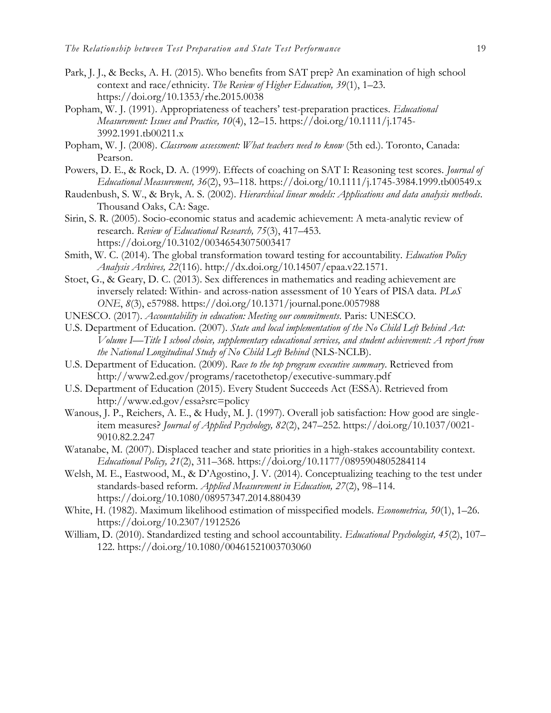- Park, J. J., & Becks, A. H. (2015). Who benefits from SAT prep? An examination of high school context and race/ethnicity. *The Review of Higher Education, 39*(1), 1–23. https://doi.org/10.1353/rhe.2015.0038
- Popham, W. J. (1991). Appropriateness of teachers' test-preparation practices. *Educational Measurement: Issues and Practice, 10*(4), 12–15. https://doi.org/10.1111/j.1745- 3992.1991.tb00211.x
- Popham, W. J. (2008). *Classroom assessment: What teachers need to know* (5th ed.). Toronto, Canada: Pearson.
- Powers, D. E., & Rock, D. A. (1999). Effects of coaching on SAT I: Reasoning test scores. *Journal of Educational Measurement, 36*(2), 93–118. https://doi.org/10.1111/j.1745-3984.1999.tb00549.x
- Raudenbush, S. W., & Bryk, A. S. (2002). *Hierarchical linear models: Applications and data analysis methods*. Thousand Oaks, CA: Sage.
- Sirin, S. R. (2005). Socio-economic status and academic achievement: A meta-analytic review of research. *Review of Educational Research, 75*(3), 417–453. https://doi.org/10.3102/00346543075003417
- Smith, W. C. (2014). The global transformation toward testing for accountability. *Education Policy Analysis Archives, 22*(116). http://dx.doi.org/10.14507/epaa.v22.1571.
- Stoet, G., & Geary, D. C. (2013). Sex differences in mathematics and reading achievement are inversely related: Within- and across-nation assessment of 10 Years of PISA data. *PLoS ONE*, *8*(3), e57988. https://doi.org/10.1371/journal.pone.0057988
- UNESCO. (2017). *Accountability in education: Meeting our commitments*. Paris: UNESCO.
- U.S. Department of Education. (2007). *State and local implementation of the No Child Left Behind Act: Volume I—Title I school choice, supplementary educational services, and student achievement: A report from the National Longitudinal Study of No Child Left Behind* (NLS-NCLB).
- U.S. Department of Education. (2009). *Race to the top program executive summary*. Retrieved from http://www2.ed.gov/programs/racetothetop/executive-summary.pdf
- U.S. Department of Education (2015). Every Student Succeeds Act (ESSA). Retrieved from http://www.ed.gov/essa?src=policy
- Wanous, J. P., Reichers, A. E., & Hudy, M. J. (1997). Overall job satisfaction: How good are singleitem measures? *Journal of Applied Psychology, 82*(2), 247–252. https://doi.org/10.1037/0021- 9010.82.2.247
- Watanabe, M. (2007). Displaced teacher and state priorities in a high-stakes accountability context. *Educational Policy, 21*(2), 311–368. https://doi.org/10.1177/0895904805284114
- Welsh, M. E., Eastwood, M., & D'Agostino, J. V. (2014). Conceptualizing teaching to the test under standards-based reform. *Applied Measurement in Education, 27*(2), 98–114. https://doi.org/10.1080/08957347.2014.880439
- White, H. (1982). Maximum likelihood estimation of misspecified models. *Econometrica, 50*(1), 1–26. https://doi.org/10.2307/1912526
- William, D. (2010). Standardized testing and school accountability. *Educational Psychologist, 45*(2), 107– 122. https://doi.org/10.1080/00461521003703060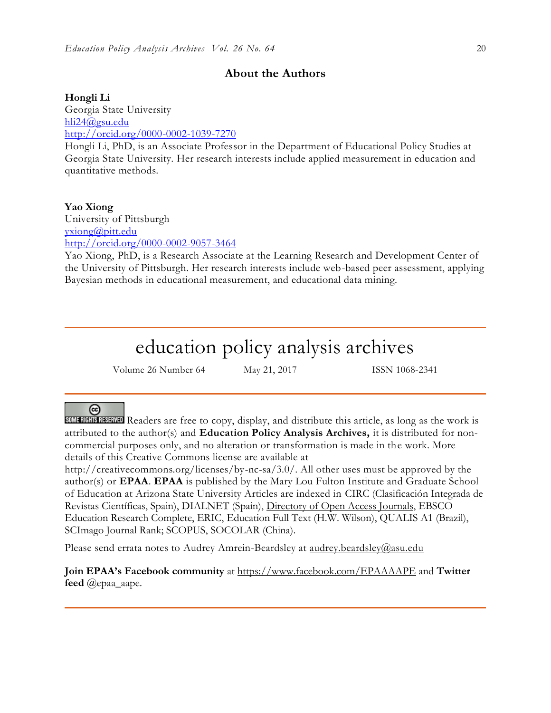# **About the Authors**

#### **Hongli Li**

Georgia State University [hli24@gsu.edu](mailto:hli24@gsu.edu) <http://orcid.org/0000-0002-1039-7270>

Hongli Li, PhD, is an Associate Professor in the Department of Educational Policy Studies at Georgia State University. Her research interests include applied measurement in education and quantitative methods.

#### **Yao Xiong**

University of Pittsburgh [yxiong@pitt.edu](mailto:yxiong@pitt.edu) <http://orcid.org/0000-0002-9057-3464>

Yao Xiong, PhD, is a Research Associate at the Learning Research and Development Center of the University of Pittsburgh. Her research interests include web-based peer assessment, applying Bayesian methods in educational measurement, and educational data mining.

# education policy analysis archives

Volume 26 Number 64 May 21, 2017 ISSN 1068-2341

# ര

SOME RIGHTS RESERVED Readers are free to copy, display, and distribute this article, as long as the work is attributed to the author(s) and **Education Policy Analysis Archives,** it is distributed for noncommercial purposes only, and no alteration or transformation is made in the work. More details of this Creative Commons license are available at

http://creativecommons.org/licenses/by-nc-sa/3.0/. All other uses must be approved by the author(s) or **EPAA**. **EPAA** is published by the Mary Lou Fulton Institute and Graduate School of Education at Arizona State University Articles are indexed in CIRC (Clasificación Integrada de Revistas Científicas, Spain), DIALNET (Spain), [Directory of Open Access Journals,](http://www.doaj.org/) EBSCO Education Research Complete, ERIC, Education Full Text (H.W. Wilson), QUALIS A1 (Brazil), SCImago Journal Rank; SCOPUS, SOCOLAR (China).

Please send errata notes to Audrey Amrein-Beardsley at [audrey.beardsley@asu.edu](mailto:audrey.beardsley@asu.edu)

**Join EPAA's Facebook community** at<https://www.facebook.com/EPAAAAPE> and **Twitter feed** @epaa\_aape.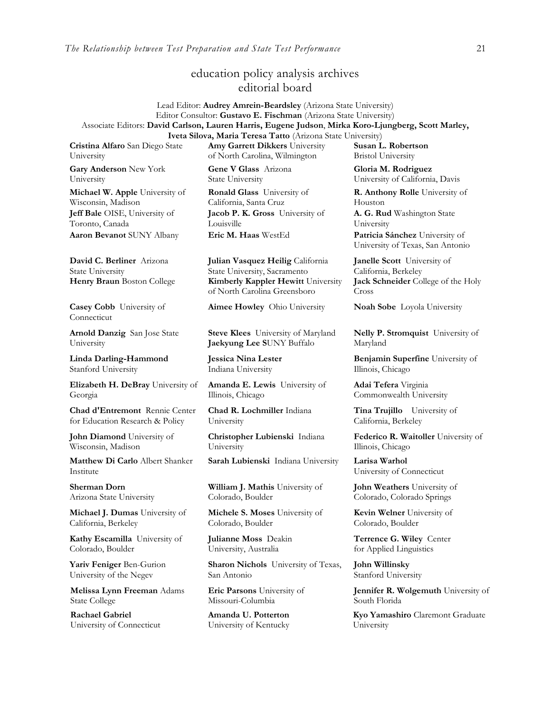*The Relationship between Test Preparation and State Test Performance* 21

# education policy analysis archives editorial board

Lead Editor: **Audrey Amrein-Beardsley** (Arizona State University) Editor Consultor: **Gustavo E. Fischman** (Arizona State University) Associate Editors: **David Carlson, Lauren Harris, Eugene Judson**, **Mirka Koro-Ljungberg, Scott Marley, Iveta Silova, Maria Teresa Tatto** (Arizona State University)

**Cristina Alfaro** San Diego State University

**Gary Anderson** New York University

**Michael W. Apple** University of Wisconsin, Madison **Jeff Bale** OISE, University of Toronto, Canada **Aaron Bevanot** SUNY Albany **Eric M. Haas** WestEd **Patricia Sánchez** University of

**David C. Berliner** Arizona State University

**Casey Cobb** University of Connecticut

**Arnold Danzig** San Jose State University

**Linda Darling-Hammond**  Stanford University

**Elizabeth H. DeBray** University of Georgia

**Chad d'Entremont** Rennie Center for Education Research & Policy

**John Diamond** University of Wisconsin, Madison

**Matthew Di Carlo** Albert Shanker Institute

**Sherman Dorn** Arizona State University

**Michael J. Dumas** University of California, Berkeley

**Kathy Escamilla** University of Colorado, Boulder

**Yariv Feniger** Ben-Gurion University of the Negev

**Melissa Lynn Freeman** Adams State College

**Rachael Gabriel** University of Connecticut **Amy Garrett Dikkers** University of North Carolina, Wilmington

**Gene V Glass** Arizona State University

**Ronald Glass** University of California, Santa Cruz **Jacob P. K. Gross** University of Louisville

**Julian Vasquez Heilig** California State University, Sacramento **Henry Braun** Boston College **Kimberly Kappler Hewitt** University of North Carolina Greensboro

**Aimee Howley** Ohio University **Noah Sobe** Loyola University

**Steve Klees** University of Maryland **Jaekyung Lee S**UNY Buffalo

**Jessica Nina Lester** Indiana University

**Amanda E. Lewis** University of Illinois, Chicago

**Chad R. Lochmiller** Indiana University

**Christopher Lubienski** Indiana University

**Sarah Lubienski** Indiana University **Larisa Warhol**

**William J. Mathis** University of Colorado, Boulder

**Michele S. Moses** University of Colorado, Boulder

**Julianne Moss** Deakin University, Australia

**Sharon Nichols** University of Texas, San Antonio

**Eric Parsons** University of Missouri-Columbia

**Amanda U. Potterton** University of Kentucky

**Susan L. Robertson** Bristol University

**Gloria M. Rodriguez** University of California, Davis

**R. Anthony Rolle** University of Houston

**A. G. Rud** Washington State University

University of Texas, San Antonio

**Janelle Scott** University of California, Berkeley **Jack Schneider** College of the Holy Cross

**Nelly P. Stromquist** University of Maryland

**Benjamin Superfine** University of Illinois, Chicago

**Adai Tefera** Virginia Commonwealth University

**Tina Trujillo** University of California, Berkeley

**Federico R. Waitoller** University of Illinois, Chicago

University of Connecticut

**John Weathers** University of Colorado, Colorado Springs

**Kevin Welner** University of Colorado, Boulder

**Terrence G. Wiley** Center for Applied Linguistics

**John Willinsky**  Stanford University

**Jennifer R. Wolgemuth** University of South Florida

**Kyo Yamashiro** Claremont Graduate University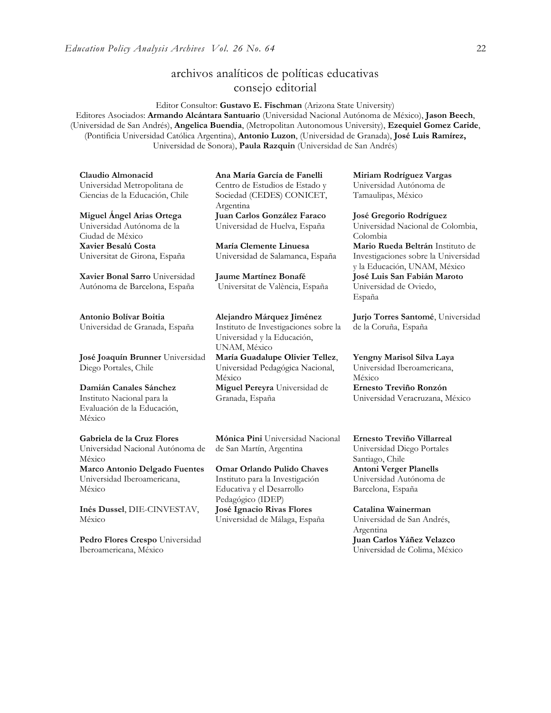# archivos analíticos de políticas educativas consejo editorial

Editor Consultor: **Gustavo E. Fischman** (Arizona State University)

Editores Asociados: **Armando Alcántara Santuario** (Universidad Nacional Autónoma de México), **Jason Beech**, (Universidad de San Andrés), **Angelica Buendia**, (Metropolitan Autonomous University), **Ezequiel Gomez Caride**, (Pontificia Universidad Católica Argentina), **Antonio Luzon**, (Universidad de Granada), **José Luis Ramírez,** Universidad de Sonora), **[Paula Razquin](javascript:openRTWindow()** (Universidad de San Andrés)

**Claudio Almonacid** Universidad Metropolitana de Ciencias de la Educación, Chile

**Miguel Ángel Arias Ortega**  Universidad Autónoma de la Ciudad de México **Xavier Besalú Costa**  Universitat de Girona, España

**[Xavier Bonal](javascript:openRTWindow() Sarro** Universidad Autónoma de Barcelona, España

**[Antonio Bolívar](javascript:openRTWindow() Boitia** Universidad de Granada, España

**[José Joaquín Brunner](javascript:openRTWindow()** Universidad Diego Portales, Chile

**[Damián Canales Sánchez](javascript:openRTWindow()** Instituto Nacional para la Evaluación de la Educación, México

#### **Gabriela de la Cruz Flores** Universidad Nacional Autónoma de México **[Marco Antonio Delgado Fuentes](javascript:openRTWindow()**

Universidad Iberoamericana, México

**[Inés Dussel](javascript:openRTWindow()**, DIE-CINVESTAV, México

**[Pedro Flores Crespo](javascript:openRTWindow()** Universidad Iberoamericana, México

**Ana María García de Fanelli**  Centro de Estudios de Estado y Sociedad (CEDES) CONICET, Argentina **Juan Carlos González Faraco**  Universidad de Huelva, España

**María Clemente Linuesa**  Universidad de Salamanca, España

**Jaume Martínez Bonafé** Universitat de València, España

#### **Alejandro Márquez Jiménez**

Instituto de Investigaciones sobre la Universidad y la Educación, UNAM, México **María Guadalupe Olivier Tellez**, Universidad Pedagógica Nacional, México **[Miguel Pereyra](javascript:openRTWindow()** Universidad de Granada, España

**[Mónica Pini](javascript:openRTWindow()** Universidad Nacional de San Martín, Argentina

**Omar Orlando Pulido Chaves** Instituto para la Investigación Educativa y el Desarrollo Pedagógico (IDEP) **José Ignacio Rivas Flores** Universidad de Málaga, España

**[Miriam Rodríguez Vargas](javascript:openRTWindow()** Universidad Autónoma de Tamaulipas, México

**José Gregorio Rodríguez**  Universidad Nacional de Colombia, Colombia **[Mario Rueda Beltrán](javascript:openRTWindow()** Instituto de Investigaciones sobre la Universidad y la Educación, UNAM, México **José Luis San Fabián Maroto**  Universidad de Oviedo, España

**[Jurjo Torres Santomé](javascript:openRTWindow()**, Universidad de la Coruña, España

**[Yengny Marisol Silva Laya](javascript:openRTWindow()** Universidad Iberoamericana, México **Ernesto Treviño Ronzón** Universidad Veracruzana, México

**[Ernesto Treviño](javascript:openRTWindow() Villarreal** Universidad Diego Portales Santiago, Chile **[Antoni Verger Planells](javascript:openRTWindow()** Universidad Autónoma de Barcelona, España

**[Catalina Wainerman](javascript:openRTWindow()** Universidad de San Andrés, Argentina **Juan Carlos Yáñez Velazco** Universidad de Colima, México